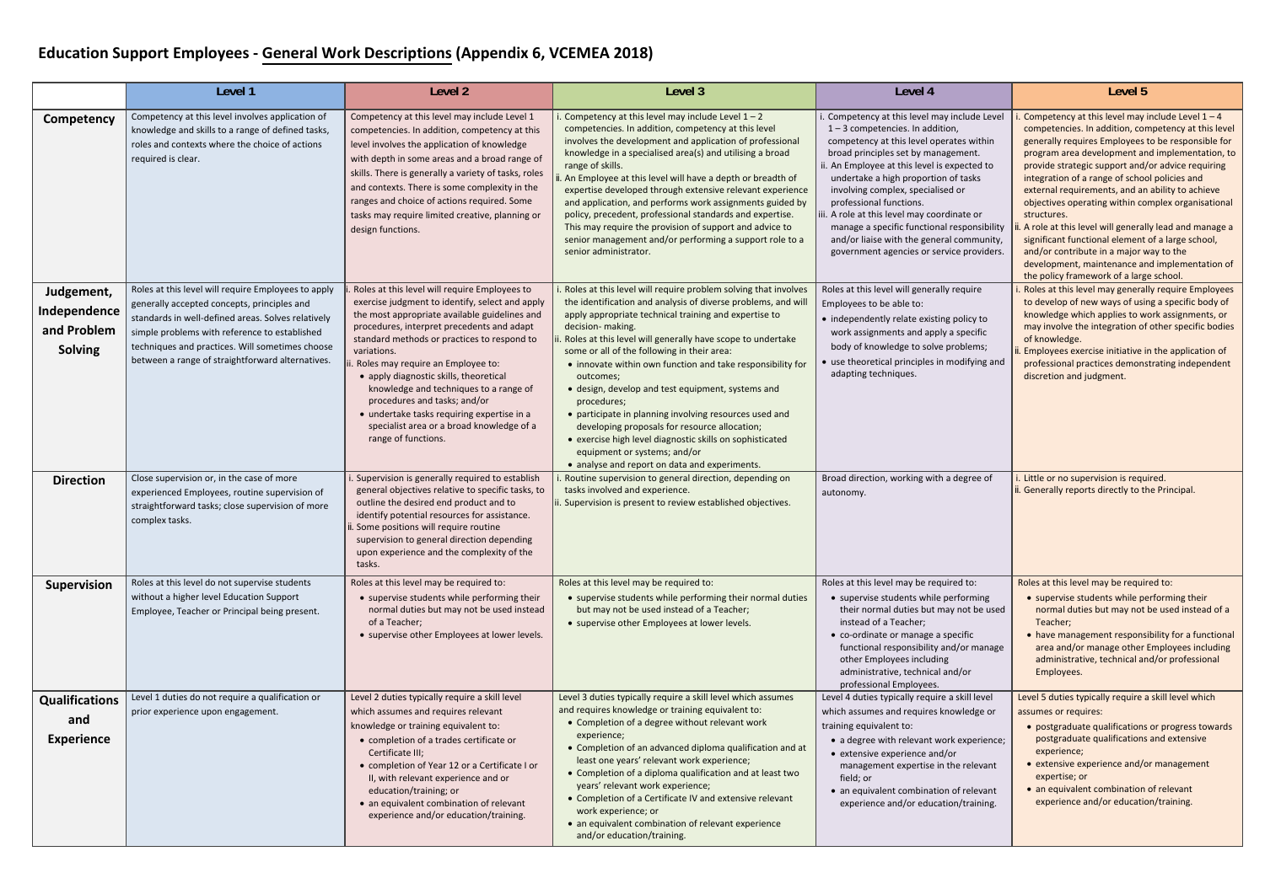## **Education Support Employees ‐ General Work Descriptions (Appendix 6, VCEMEA <sup>201</sup>8)**

|                                                             | Level 1                                                                                                                                                                                                                                                                                                          | Level <sub>2</sub>                                                                                                                                                                                                                                                                                                                                                                                                                                                                                                                         | Level 3                                                                                                                                                                                                                                                                                                                                                                                                                                                                                                                                                                                                                                                                                                                             | Level 4                                                                                                                                                                                                                                                                                                                                                                                                                                                                                                             | Level 5                                                                                                                                                                                                                                                                                                                                                                                                                                                                                                                                                                                                                                                                                                     |
|-------------------------------------------------------------|------------------------------------------------------------------------------------------------------------------------------------------------------------------------------------------------------------------------------------------------------------------------------------------------------------------|--------------------------------------------------------------------------------------------------------------------------------------------------------------------------------------------------------------------------------------------------------------------------------------------------------------------------------------------------------------------------------------------------------------------------------------------------------------------------------------------------------------------------------------------|-------------------------------------------------------------------------------------------------------------------------------------------------------------------------------------------------------------------------------------------------------------------------------------------------------------------------------------------------------------------------------------------------------------------------------------------------------------------------------------------------------------------------------------------------------------------------------------------------------------------------------------------------------------------------------------------------------------------------------------|---------------------------------------------------------------------------------------------------------------------------------------------------------------------------------------------------------------------------------------------------------------------------------------------------------------------------------------------------------------------------------------------------------------------------------------------------------------------------------------------------------------------|-------------------------------------------------------------------------------------------------------------------------------------------------------------------------------------------------------------------------------------------------------------------------------------------------------------------------------------------------------------------------------------------------------------------------------------------------------------------------------------------------------------------------------------------------------------------------------------------------------------------------------------------------------------------------------------------------------------|
| Competency                                                  | Competency at this level involves application of<br>knowledge and skills to a range of defined tasks,<br>roles and contexts where the choice of actions<br>required is clear.                                                                                                                                    | Competency at this level may include Level 1<br>competencies. In addition, competency at this<br>level involves the application of knowledge<br>with depth in some areas and a broad range of<br>skills. There is generally a variety of tasks, roles<br>and contexts. There is some complexity in the<br>ranges and choice of actions required. Some<br>tasks may require limited creative, planning or<br>design functions.                                                                                                              | Competency at this level may include Level $1 - 2$<br>competencies. In addition, competency at this level<br>involves the development and application of professional<br>knowledge in a specialised area(s) and utilising a broad<br>range of skills.<br>. An Employee at this level will have a depth or breadth of<br>expertise developed through extensive relevant experience<br>and application, and performs work assignments guided by<br>policy, precedent, professional standards and expertise.<br>This may require the provision of support and advice to<br>senior management and/or performing a support role to a<br>senior administrator.                                                                            | Competency at this level may include Level<br>$1 - 3$ competencies. In addition,<br>competency at this level operates within<br>broad principles set by management.<br>ii. An Employee at this level is expected to<br>undertake a high proportion of tasks<br>involving complex, specialised or<br>professional functions.<br>iii. A role at this level may coordinate or<br>manage a specific functional responsibility<br>and/or liaise with the general community,<br>government agencies or service providers. | . Competency at this level may include Level $1 - 4$<br>competencies. In addition, competency at this level<br>generally requires Employees to be responsible for<br>program area development and implementation, to<br>provide strategic support and/or advice requiring<br>integration of a range of school policies and<br>external requirements, and an ability to achieve<br>objectives operating within complex organisational<br>structures.<br>. A role at this level will generally lead and manage a<br>significant functional element of a large school,<br>and/or contribute in a major way to the<br>development, maintenance and implementation of<br>the policy framework of a large school. |
| Judgement,<br>Independence<br>and Problem<br><b>Solving</b> | Roles at this level will require Employees to apply<br>generally accepted concepts, principles and<br>standards in well-defined areas. Solves relatively<br>simple problems with reference to established<br>techniques and practices. Will sometimes choose<br>between a range of straightforward alternatives. | Roles at this level will require Employees to<br>exercise judgment to identify, select and apply<br>the most appropriate available guidelines and<br>procedures, interpret precedents and adapt<br>standard methods or practices to respond to<br>variations.<br>. Roles may require an Employee to:<br>• apply diagnostic skills, theoretical<br>knowledge and techniques to a range of<br>procedures and tasks; and/or<br>• undertake tasks requiring expertise in a<br>specialist area or a broad knowledge of a<br>range of functions. | . Roles at this level will require problem solving that involves<br>the identification and analysis of diverse problems, and will<br>apply appropriate technical training and expertise to<br>decision- making.<br>Roles at this level will generally have scope to undertake<br>some or all of the following in their area:<br>• innovate within own function and take responsibility for<br>outcomes;<br>• design, develop and test equipment, systems and<br>procedures;<br>• participate in planning involving resources used and<br>developing proposals for resource allocation;<br>• exercise high level diagnostic skills on sophisticated<br>equipment or systems; and/or<br>• analyse and report on data and experiments. | Roles at this level will generally require<br>Employees to be able to:<br>• independently relate existing policy to<br>work assignments and apply a specific<br>body of knowledge to solve problems;<br>• use theoretical principles in modifying and<br>adapting techniques.                                                                                                                                                                                                                                       | Roles at this level may generally require Employees<br>to develop of new ways of using a specific body of<br>knowledge which applies to work assignments, or<br>may involve the integration of other specific bodies<br>of knowledge.<br>. Employees exercise initiative in the application of<br>professional practices demonstrating independent<br>discretion and judgment.                                                                                                                                                                                                                                                                                                                              |
| <b>Direction</b>                                            | Close supervision or, in the case of more<br>experienced Employees, routine supervision of<br>straightforward tasks; close supervision of more<br>complex tasks.                                                                                                                                                 | . Supervision is generally required to establish<br>general objectives relative to specific tasks, to<br>outline the desired end product and to<br>identify potential resources for assistance.<br>Some positions will require routine<br>supervision to general direction depending<br>upon experience and the complexity of the<br>tasks.                                                                                                                                                                                                | Routine supervision to general direction, depending on<br>tasks involved and experience.<br>i. Supervision is present to review established objectives.                                                                                                                                                                                                                                                                                                                                                                                                                                                                                                                                                                             | Broad direction, working with a degree of<br>autonomy.                                                                                                                                                                                                                                                                                                                                                                                                                                                              | . Little or no supervision is required.<br>. Generally reports directly to the Principal.                                                                                                                                                                                                                                                                                                                                                                                                                                                                                                                                                                                                                   |
| <b>Supervision</b>                                          | Roles at this level do not supervise students<br>without a higher level Education Support<br>Employee, Teacher or Principal being present.                                                                                                                                                                       | Roles at this level may be required to:<br>• supervise students while performing their<br>normal duties but may not be used instead<br>of a Teacher;<br>• supervise other Employees at lower levels.                                                                                                                                                                                                                                                                                                                                       | Roles at this level may be required to:<br>• supervise students while performing their normal duties<br>but may not be used instead of a Teacher;<br>• supervise other Employees at lower levels.                                                                                                                                                                                                                                                                                                                                                                                                                                                                                                                                   | Roles at this level may be required to:<br>• supervise students while performing<br>their normal duties but may not be used<br>instead of a Teacher;<br>• co-ordinate or manage a specific<br>functional responsibility and/or manage<br>other Employees including<br>administrative, technical and/or<br>professional Employees.                                                                                                                                                                                   | Roles at this level may be required to:<br>• supervise students while performing their<br>normal duties but may not be used instead of a<br>Teacher;<br>• have management responsibility for a functional<br>area and/or manage other Employees including<br>administrative, technical and/or professional<br>Employees.                                                                                                                                                                                                                                                                                                                                                                                    |
| <b>Qualifications</b><br>and<br><b>Experience</b>           | Level 1 duties do not require a qualification or<br>prior experience upon engagement.                                                                                                                                                                                                                            | Level 2 duties typically require a skill level<br>which assumes and requires relevant<br>knowledge or training equivalent to:<br>• completion of a trades certificate or<br>Certificate III;<br>• completion of Year 12 or a Certificate I or<br>II, with relevant experience and or<br>education/training; or<br>• an equivalent combination of relevant<br>experience and/or education/training.                                                                                                                                         | Level 3 duties typically require a skill level which assumes<br>and requires knowledge or training equivalent to:<br>• Completion of a degree without relevant work<br>experience;<br>• Completion of an advanced diploma qualification and at<br>least one years' relevant work experience;<br>• Completion of a diploma qualification and at least two<br>years' relevant work experience;<br>• Completion of a Certificate IV and extensive relevant<br>work experience; or<br>• an equivalent combination of relevant experience<br>and/or education/training.                                                                                                                                                                  | Level 4 duties typically require a skill level<br>which assumes and requires knowledge or<br>training equivalent to:<br>• a degree with relevant work experience;<br>• extensive experience and/or<br>management expertise in the relevant<br>field; or<br>• an equivalent combination of relevant<br>experience and/or education/training.                                                                                                                                                                         | Level 5 duties typically require a skill level which<br>assumes or requires:<br>• postgraduate qualifications or progress towards<br>postgraduate qualifications and extensive<br>experience;<br>• extensive experience and/or management<br>expertise; or<br>• an equivalent combination of relevant<br>experience and/or education/training.                                                                                                                                                                                                                                                                                                                                                              |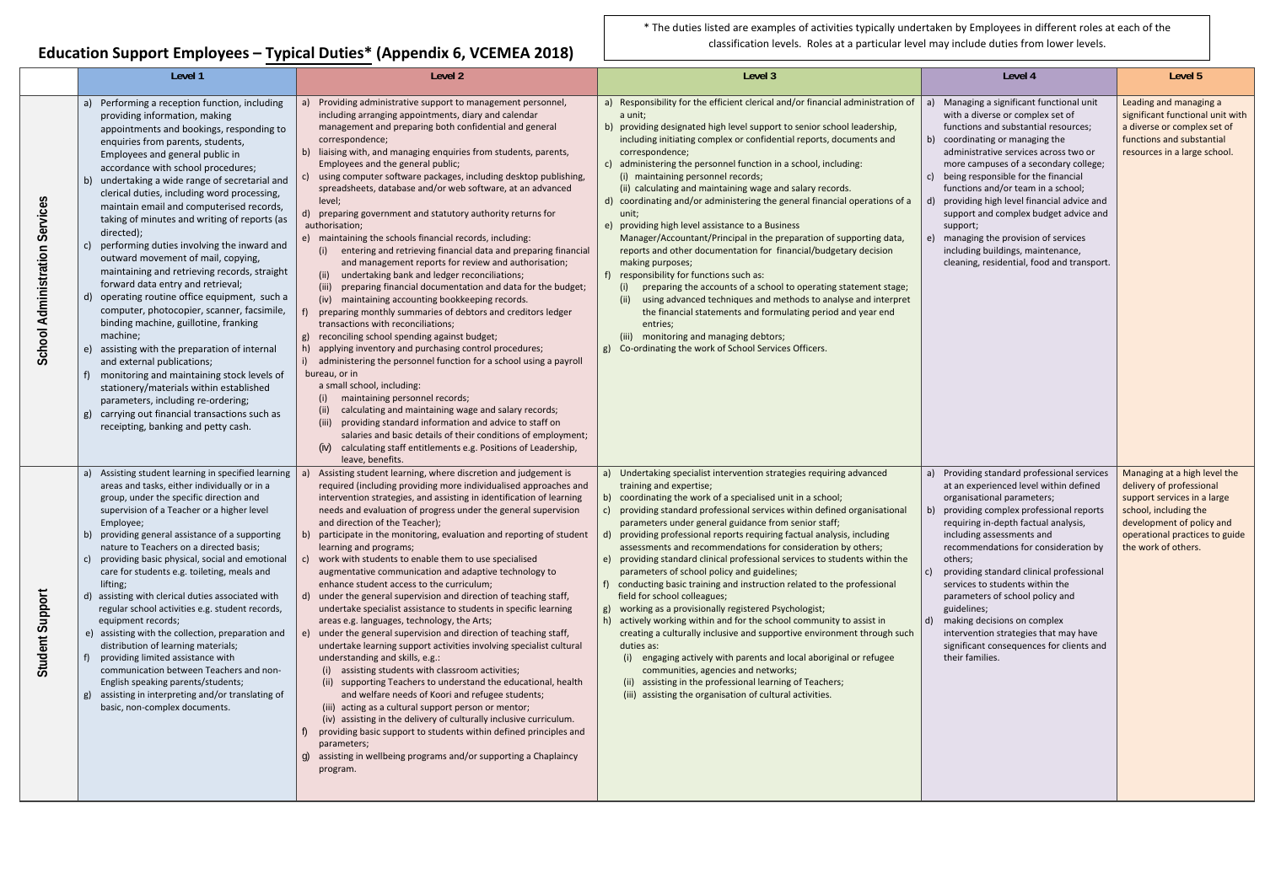**Education Support Employees – Typical Duties\* (Appendix 6, VCEMEA <sup>201</sup> 8)**

|                                |                                                                                                                                                                                                                                                                                                                                                                                                                                                                                                                                                                                                                                                                                                                                                                                                                                                                                                                                                                                                                                                                          | $\frac{1}{2}$ $\frac{1}{2}$ $\frac{1}{2}$ $\frac{1}{2}$ $\frac{1}{2}$ $\frac{1}{2}$ $\frac{1}{2}$ $\frac{1}{2}$ $\frac{1}{2}$ $\frac{1}{2}$ $\frac{1}{2}$ $\frac{1}{2}$ $\frac{1}{2}$ $\frac{1}{2}$ $\frac{1}{2}$ $\frac{1}{2}$ $\frac{1}{2}$ $\frac{1}{2}$ $\frac{1}{2}$ $\frac{1}{2}$ $\frac{1}{2}$ $\frac{1}{2}$                                                                                                                                                                                                                                                                                                                                                                                                                                                                                                                                                                                                                                                                                                                                                                                                                                                                                                                                                                                                                                                                                                                                                                                                                                                                               |                                                                                                                                                                                                                                                                                                                                                                                                                                                                                                                                                                                                                                                                                                                                                                                                                                                                                                                                                                                                                                                                                                                                           |                                                                                                                                                                                                                                                                                                                                                                                                                                                                                                                                                                      |                                                                                                                                                                                                        |
|--------------------------------|--------------------------------------------------------------------------------------------------------------------------------------------------------------------------------------------------------------------------------------------------------------------------------------------------------------------------------------------------------------------------------------------------------------------------------------------------------------------------------------------------------------------------------------------------------------------------------------------------------------------------------------------------------------------------------------------------------------------------------------------------------------------------------------------------------------------------------------------------------------------------------------------------------------------------------------------------------------------------------------------------------------------------------------------------------------------------|---------------------------------------------------------------------------------------------------------------------------------------------------------------------------------------------------------------------------------------------------------------------------------------------------------------------------------------------------------------------------------------------------------------------------------------------------------------------------------------------------------------------------------------------------------------------------------------------------------------------------------------------------------------------------------------------------------------------------------------------------------------------------------------------------------------------------------------------------------------------------------------------------------------------------------------------------------------------------------------------------------------------------------------------------------------------------------------------------------------------------------------------------------------------------------------------------------------------------------------------------------------------------------------------------------------------------------------------------------------------------------------------------------------------------------------------------------------------------------------------------------------------------------------------------------------------------------------------------|-------------------------------------------------------------------------------------------------------------------------------------------------------------------------------------------------------------------------------------------------------------------------------------------------------------------------------------------------------------------------------------------------------------------------------------------------------------------------------------------------------------------------------------------------------------------------------------------------------------------------------------------------------------------------------------------------------------------------------------------------------------------------------------------------------------------------------------------------------------------------------------------------------------------------------------------------------------------------------------------------------------------------------------------------------------------------------------------------------------------------------------------|----------------------------------------------------------------------------------------------------------------------------------------------------------------------------------------------------------------------------------------------------------------------------------------------------------------------------------------------------------------------------------------------------------------------------------------------------------------------------------------------------------------------------------------------------------------------|--------------------------------------------------------------------------------------------------------------------------------------------------------------------------------------------------------|
|                                | Level 1                                                                                                                                                                                                                                                                                                                                                                                                                                                                                                                                                                                                                                                                                                                                                                                                                                                                                                                                                                                                                                                                  | Level 2                                                                                                                                                                                                                                                                                                                                                                                                                                                                                                                                                                                                                                                                                                                                                                                                                                                                                                                                                                                                                                                                                                                                                                                                                                                                                                                                                                                                                                                                                                                                                                                           | Level 3                                                                                                                                                                                                                                                                                                                                                                                                                                                                                                                                                                                                                                                                                                                                                                                                                                                                                                                                                                                                                                                                                                                                   | Level 4                                                                                                                                                                                                                                                                                                                                                                                                                                                                                                                                                              | Level 5                                                                                                                                                                                                |
| School Administration Services | Performing a reception function, including<br>providing information, making<br>appointments and bookings, responding to<br>enquiries from parents, students,<br>Employees and general public in<br>accordance with school procedures;<br>undertaking a wide range of secretarial and<br>clerical duties, including word processing,<br>maintain email and computerised records,<br>taking of minutes and writing of reports (as<br>directed);<br>performing duties involving the inward and<br>outward movement of mail, copying,<br>maintaining and retrieving records, straight<br>forward data entry and retrieval;<br>operating routine office equipment, such a<br>computer, photocopier, scanner, facsimile,<br>binding machine, guillotine, franking<br>machine;<br>assisting with the preparation of internal<br>and external publications;<br>monitoring and maintaining stock levels of<br>stationery/materials within established<br>parameters, including re-ordering;<br>carrying out financial transactions such as<br>receipting, banking and petty cash. | Providing administrative support to management personnel,<br>including arranging appointments, diary and calendar<br>management and preparing both confidential and general<br>correspondence;<br>b) liaising with, and managing enquiries from students, parents,<br>Employees and the general public;<br>using computer software packages, including desktop publishing,<br>spreadsheets, database and/or web software, at an advanced<br>level;<br>d) preparing government and statutory authority returns for<br>authorisation;<br>e) maintaining the schools financial records, including:<br>entering and retrieving financial data and preparing financial<br>and management reports for review and authorisation;<br>undertaking bank and ledger reconciliations;<br>(ii)<br>preparing financial documentation and data for the budget;<br>(iii)<br>maintaining accounting bookkeeping records.<br>(iv)<br>preparing monthly summaries of debtors and creditors ledger<br>transactions with reconciliations;<br>g) reconciling school spending against budget;<br>applying inventory and purchasing control procedures;<br>h)<br>administering the personnel function for a school using a payroll<br>bureau, or in<br>a small school, including:<br>maintaining personnel records;<br>(i)<br>calculating and maintaining wage and salary records;<br>(ii)<br>(iii)<br>providing standard information and advice to staff on<br>salaries and basic details of their conditions of employment;<br>calculating staff entitlements e.g. Positions of Leadership,<br>(iv)<br>leave, benefits. | a) Responsibility for the efficient clerical and/or financial administration of<br>a unit;<br>b) providing designated high level support to senior school leadership,<br>including initiating complex or confidential reports, documents and<br>correspondence;<br>c) administering the personnel function in a school, including:<br>(i) maintaining personnel records;<br>(ii) calculating and maintaining wage and salary records.<br>d) coordinating and/or administering the general financial operations of a<br>unit;<br>providing high level assistance to a Business<br>Manager/Accountant/Principal in the preparation of supporting data,<br>reports and other documentation for financial/budgetary decision<br>making purposes;<br>responsibility for functions such as:<br>$f$ )<br>preparing the accounts of a school to operating statement stage;<br>using advanced techniques and methods to analyse and interpret<br>(ii)<br>the financial statements and formulating period and year end<br>entries;<br>monitoring and managing debtors;<br>Co-ordinating the work of School Services Officers.<br>g)                 | Managing a significant functional unit<br>$ a\rangle$<br>with a diverse or complex set of<br>functions and substantial resources;<br>b) coordinating or managing the<br>administrative services across two or<br>more campuses of a secondary college;<br>being responsible for the financial<br>functions and/or team in a school;<br>providing high level financial advice and<br>support and complex budget advice and<br>support;<br>managing the provision of services<br>including buildings, maintenance,<br>cleaning, residential, food and transport.       | Leading and managing a<br>significant functional unit with<br>a diverse or complex set of<br>functions and substantial<br>resources in a large school.                                                 |
| Student Support                | Assisting student learning in specified learning<br>areas and tasks, either individually or in a<br>group, under the specific direction and<br>supervision of a Teacher or a higher level<br>Employee;<br>b) providing general assistance of a supporting<br>nature to Teachers on a directed basis;<br>providing basic physical, social and emotional<br>care for students e.g. toileting, meals and<br>lifting;<br>d) assisting with clerical duties associated with<br>regular school activities e.g. student records,<br>equipment records;<br>assisting with the collection, preparation and<br>e)<br>distribution of learning materials;<br>providing limited assistance with<br>communication between Teachers and non-<br>English speaking parents/students;<br>assisting in interpreting and/or translating of<br>basic, non-complex documents.                                                                                                                                                                                                                 | Assisting student learning, where discretion and judgement is<br>required (including providing more individualised approaches and<br>intervention strategies, and assisting in identification of learning<br>needs and evaluation of progress under the general supervision<br>and direction of the Teacher);<br>b) participate in the monitoring, evaluation and reporting of student<br>learning and programs;<br>work with students to enable them to use specialised<br>C)<br>augmentative communication and adaptive technology to<br>enhance student access to the curriculum;<br>d) under the general supervision and direction of teaching staff,<br>undertake specialist assistance to students in specific learning<br>areas e.g. languages, technology, the Arts;<br>e) under the general supervision and direction of teaching staff,<br>undertake learning support activities involving specialist cultural<br>understanding and skills, e.g.:<br>(i) assisting students with classroom activities;<br>(ii) supporting Teachers to understand the educational, health<br>and welfare needs of Koori and refugee students;<br>(iii) acting as a cultural support person or mentor;<br>(iv) assisting in the delivery of culturally inclusive curriculum.<br>providing basic support to students within defined principles and<br>parameters;<br>g) assisting in wellbeing programs and/or supporting a Chaplaincy<br>program.                                                                                                                                                         | Undertaking specialist intervention strategies requiring advanced<br>a)<br>training and expertise;<br>coordinating the work of a specialised unit in a school;<br>providing standard professional services within defined organisational<br>parameters under general guidance from senior staff;<br>d) providing professional reports requiring factual analysis, including<br>assessments and recommendations for consideration by others;<br>providing standard clinical professional services to students within the<br>parameters of school policy and guidelines;<br>conducting basic training and instruction related to the professional<br>field for school colleagues;<br>working as a provisionally registered Psychologist;<br>actively working within and for the school community to assist in<br>creating a culturally inclusive and supportive environment through such<br>duties as:<br>(i) engaging actively with parents and local aboriginal or refugee<br>communities, agencies and networks;<br>(ii) assisting in the professional learning of Teachers;<br>(iii) assisting the organisation of cultural activities. | Providing standard professional services<br>at an experienced level within defined<br>organisational parameters;<br>providing complex professional reports<br>requiring in-depth factual analysis,<br>including assessments and<br>recommendations for consideration by<br>others;<br>providing standard clinical professional<br>  c)  <br>services to students within the<br>parameters of school policy and<br>guidelines;<br>making decisions on complex<br>intervention strategies that may have<br>significant consequences for clients and<br>their families. | Managing at a high level the<br>delivery of professional<br>support services in a large<br>school, including the<br>development of policy and<br>operational practices to guide<br>the work of others. |

\* The duties listed are examples of activities typically undertaken by Employees in different roles at each of the classification levels. Roles at <sup>a</sup> particular level may include duties from lower levels.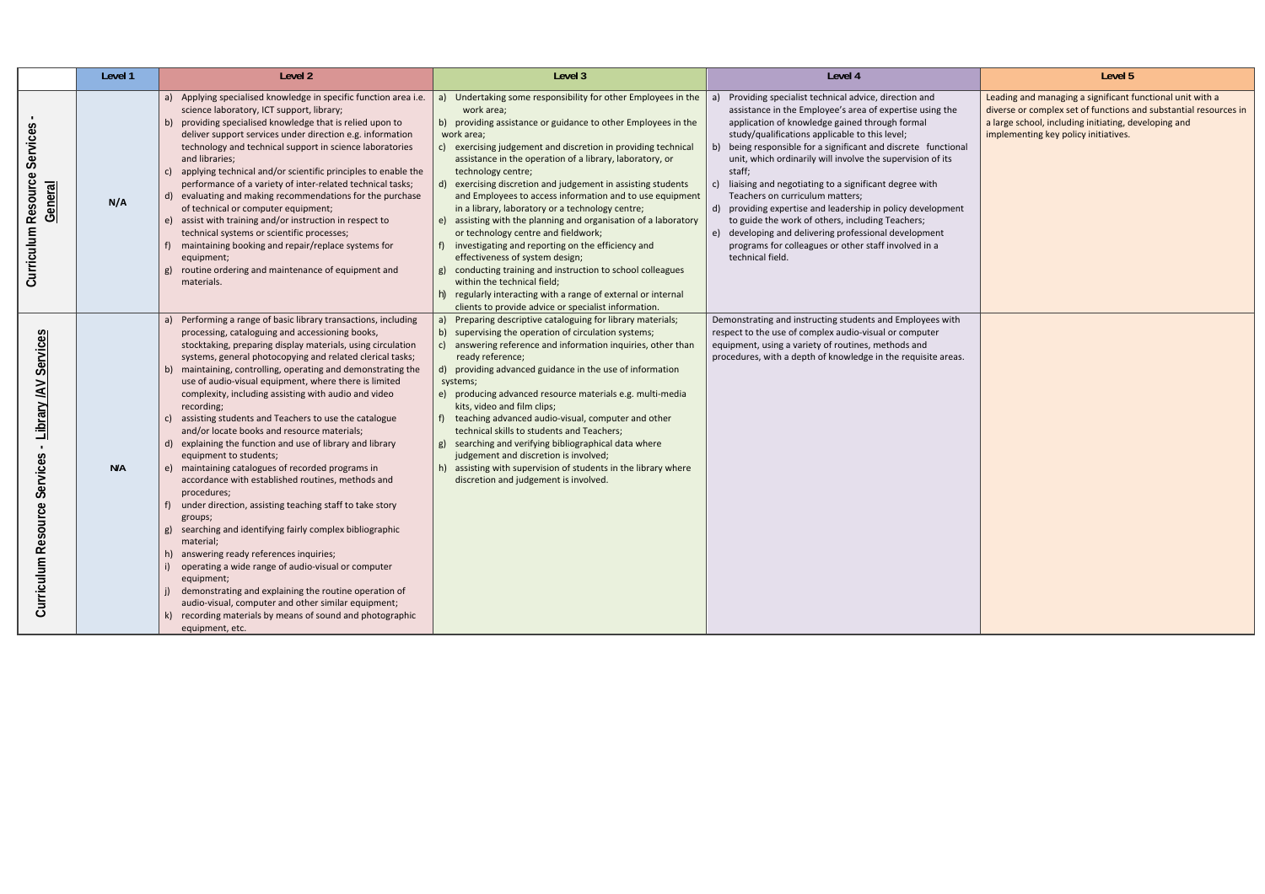|                                                                   | Level 1 | Level 2                                                                                                                                                                                                                                                                                                                                                                                                                                                                                                                                                                                                                                                                                                                                                                                                                                                                                                                                                                                                                                                                                                                                                                                                                             | Level 3                                                                                                                                                                                                                                                                                                                                                                                                                                                                                                                                                                                                                                                                                                                                                                                                                                                                                                             | Level 4                                                                                                                                                                                                                                                                                                                                                                                                                                                                                                                                                                                                                                                                                                               | Level 5                                                                                                                                                           |
|-------------------------------------------------------------------|---------|-------------------------------------------------------------------------------------------------------------------------------------------------------------------------------------------------------------------------------------------------------------------------------------------------------------------------------------------------------------------------------------------------------------------------------------------------------------------------------------------------------------------------------------------------------------------------------------------------------------------------------------------------------------------------------------------------------------------------------------------------------------------------------------------------------------------------------------------------------------------------------------------------------------------------------------------------------------------------------------------------------------------------------------------------------------------------------------------------------------------------------------------------------------------------------------------------------------------------------------|---------------------------------------------------------------------------------------------------------------------------------------------------------------------------------------------------------------------------------------------------------------------------------------------------------------------------------------------------------------------------------------------------------------------------------------------------------------------------------------------------------------------------------------------------------------------------------------------------------------------------------------------------------------------------------------------------------------------------------------------------------------------------------------------------------------------------------------------------------------------------------------------------------------------|-----------------------------------------------------------------------------------------------------------------------------------------------------------------------------------------------------------------------------------------------------------------------------------------------------------------------------------------------------------------------------------------------------------------------------------------------------------------------------------------------------------------------------------------------------------------------------------------------------------------------------------------------------------------------------------------------------------------------|-------------------------------------------------------------------------------------------------------------------------------------------------------------------|
| Services<br>Curriculum Resource<br>General                        | N/A     | a) Applying specialised knowledge in specific function area i.e.<br>science laboratory, ICT support, library;<br>b) providing specialised knowledge that is relied upon to<br>deliver support services under direction e.g. information<br>technology and technical support in science laboratories<br>and libraries;<br>c) applying technical and/or scientific principles to enable the<br>performance of a variety of inter-related technical tasks;<br>d) evaluating and making recommendations for the purchase<br>of technical or computer equipment;<br>e) assist with training and/or instruction in respect to<br>technical systems or scientific processes;<br>maintaining booking and repair/replace systems for<br>equipment;<br>routine ordering and maintenance of equipment and<br>materials.                                                                                                                                                                                                                                                                                                                                                                                                                        | a) Undertaking some responsibility for other Employees in the<br>work area;<br>b) providing assistance or guidance to other Employees in the<br>work area;<br>c) exercising judgement and discretion in providing technical<br>assistance in the operation of a library, laboratory, or<br>technology centre;<br>exercising discretion and judgement in assisting students<br>d)<br>and Employees to access information and to use equipment<br>in a library, laboratory or a technology centre;<br>e) assisting with the planning and organisation of a laboratory<br>or technology centre and fieldwork;<br>investigating and reporting on the efficiency and<br>effectiveness of system design;<br>conducting training and instruction to school colleagues<br>within the technical field;<br>regularly interacting with a range of external or internal<br>clients to provide advice or specialist information. | Providing specialist technical advice, direction and<br>assistance in the Employee's area of expertise using the<br>application of knowledge gained through formal<br>study/qualifications applicable to this level;<br>being responsible for a significant and discrete functional<br>b)<br>unit, which ordinarily will involve the supervision of its<br>staff;<br>liaising and negotiating to a significant degree with<br>Teachers on curriculum matters;<br>d) providing expertise and leadership in policy development<br>to guide the work of others, including Teachers;<br>e) developing and delivering professional development<br>programs for colleagues or other staff involved in a<br>technical field. | Leading and managing a significant f<br>diverse or complex set of functions a<br>a large school, including initiating, de<br>implementing key policy initiatives. |
| Services<br>Library /AV<br>Services<br>source<br>ρê<br>Curriculum | N/A     | a) Performing a range of basic library transactions, including<br>processing, cataloguing and accessioning books,<br>stocktaking, preparing display materials, using circulation<br>systems, general photocopying and related clerical tasks;<br>b) maintaining, controlling, operating and demonstrating the<br>use of audio-visual equipment, where there is limited<br>complexity, including assisting with audio and video<br>recording;<br>assisting students and Teachers to use the catalogue<br>and/or locate books and resource materials;<br>d) explaining the function and use of library and library<br>equipment to students;<br>e) maintaining catalogues of recorded programs in<br>accordance with established routines, methods and<br>procedures;<br>under direction, assisting teaching staff to take story<br>groups;<br>searching and identifying fairly complex bibliographic<br>material;<br>h) answering ready references inquiries;<br>operating a wide range of audio-visual or computer<br>equipment;<br>demonstrating and explaining the routine operation of<br>audio-visual, computer and other similar equipment;<br>recording materials by means of sound and photographic<br>k)<br>equipment, etc. | a)<br>Preparing descriptive cataloguing for library materials;<br>b) supervising the operation of circulation systems;<br>answering reference and information inquiries, other than<br>C)<br>ready reference;<br>d) providing advanced guidance in the use of information<br>systems;<br>e) producing advanced resource materials e.g. multi-media<br>kits, video and film clips;<br>teaching advanced audio-visual, computer and other<br>technical skills to students and Teachers;<br>searching and verifying bibliographical data where<br>judgement and discretion is involved;<br>h) assisting with supervision of students in the library where<br>discretion and judgement is involved.                                                                                                                                                                                                                     | Demonstrating and instructing students and Employees with<br>respect to the use of complex audio-visual or computer<br>equipment, using a variety of routines, methods and<br>procedures, with a depth of knowledge in the requisite areas.                                                                                                                                                                                                                                                                                                                                                                                                                                                                           |                                                                                                                                                                   |

|     | Level 5                                                                                                                                                                                                                       |
|-----|-------------------------------------------------------------------------------------------------------------------------------------------------------------------------------------------------------------------------------|
|     | Leading and managing a significant functional unit with a<br>diverse or complex set of functions and substantial resources in<br>a large school, including initiating, developing and<br>implementing key policy initiatives. |
| nal |                                                                                                                                                                                                                               |
| nt  |                                                                                                                                                                                                                               |
|     |                                                                                                                                                                                                                               |
|     |                                                                                                                                                                                                                               |
| h   |                                                                                                                                                                                                                               |
| ЭS. |                                                                                                                                                                                                                               |
|     |                                                                                                                                                                                                                               |
|     |                                                                                                                                                                                                                               |
|     |                                                                                                                                                                                                                               |
|     |                                                                                                                                                                                                                               |
|     |                                                                                                                                                                                                                               |
|     |                                                                                                                                                                                                                               |
|     |                                                                                                                                                                                                                               |
|     |                                                                                                                                                                                                                               |